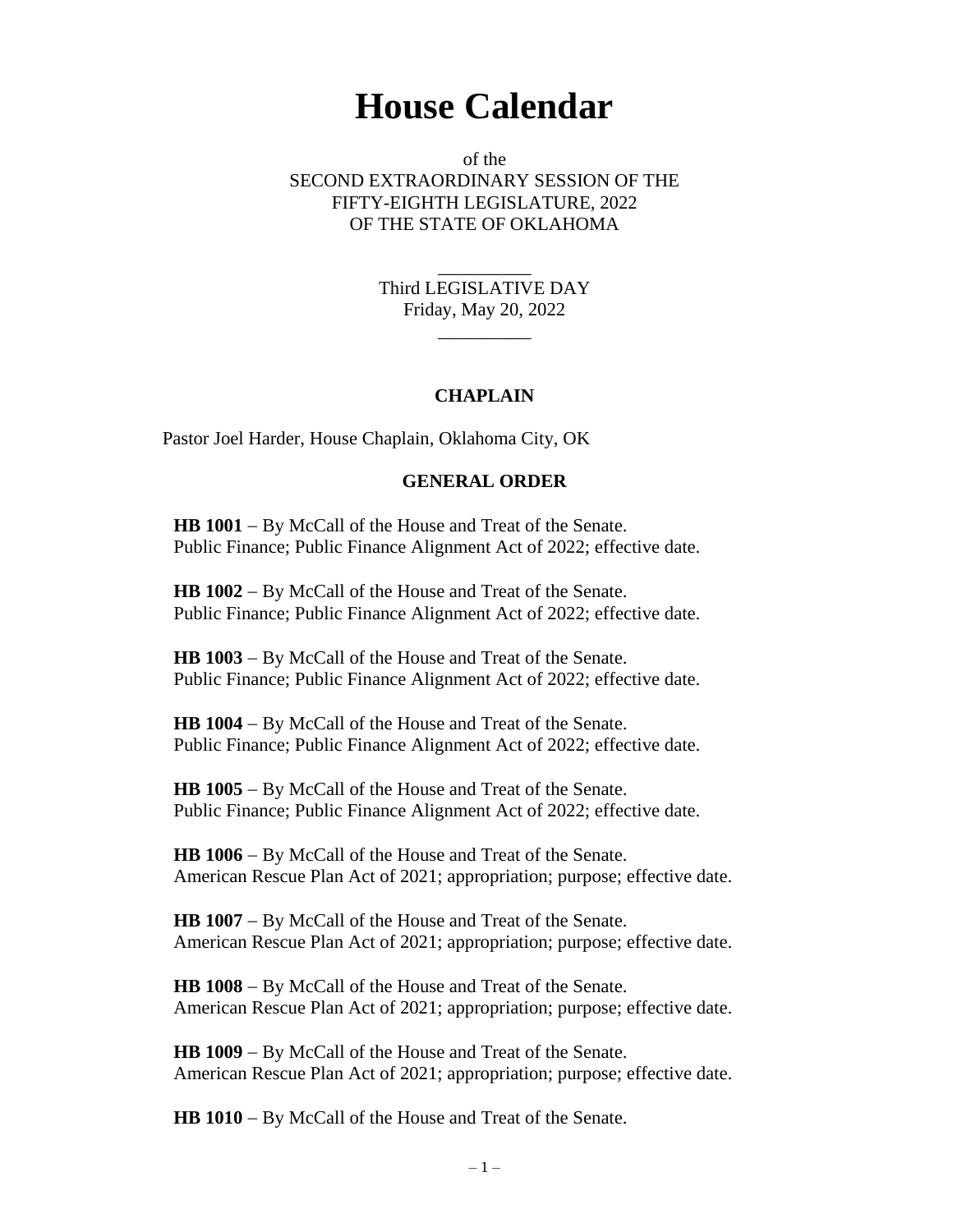## **House Calendar**

of the SECOND EXTRAORDINARY SESSION OF THE FIFTY-EIGHTH LEGISLATURE, 2022 OF THE STATE OF OKLAHOMA

> Third LEGISLATIVE DAY Friday, May 20, 2022

> > $\overline{\phantom{a}}$

\_\_\_\_\_\_\_\_\_\_

## **CHAPLAIN**

Pastor Joel Harder, House Chaplain, Oklahoma City, OK

## **GENERAL ORDER**

**HB 1001** − By McCall of the House and Treat of the Senate. Public Finance; Public Finance Alignment Act of 2022; effective date.

**HB 1002** − By McCall of the House and Treat of the Senate. Public Finance; Public Finance Alignment Act of 2022; effective date.

**HB 1003** − By McCall of the House and Treat of the Senate. Public Finance; Public Finance Alignment Act of 2022; effective date.

**HB 1004** − By McCall of the House and Treat of the Senate. Public Finance; Public Finance Alignment Act of 2022; effective date.

**HB 1005** − By McCall of the House and Treat of the Senate. Public Finance; Public Finance Alignment Act of 2022; effective date.

**HB 1006** − By McCall of the House and Treat of the Senate. American Rescue Plan Act of 2021; appropriation; purpose; effective date.

**HB 1007** − By McCall of the House and Treat of the Senate. American Rescue Plan Act of 2021; appropriation; purpose; effective date.

**HB 1008** − By McCall of the House and Treat of the Senate. American Rescue Plan Act of 2021; appropriation; purpose; effective date.

**HB 1009** − By McCall of the House and Treat of the Senate. American Rescue Plan Act of 2021; appropriation; purpose; effective date.

**HB 1010** − By McCall of the House and Treat of the Senate.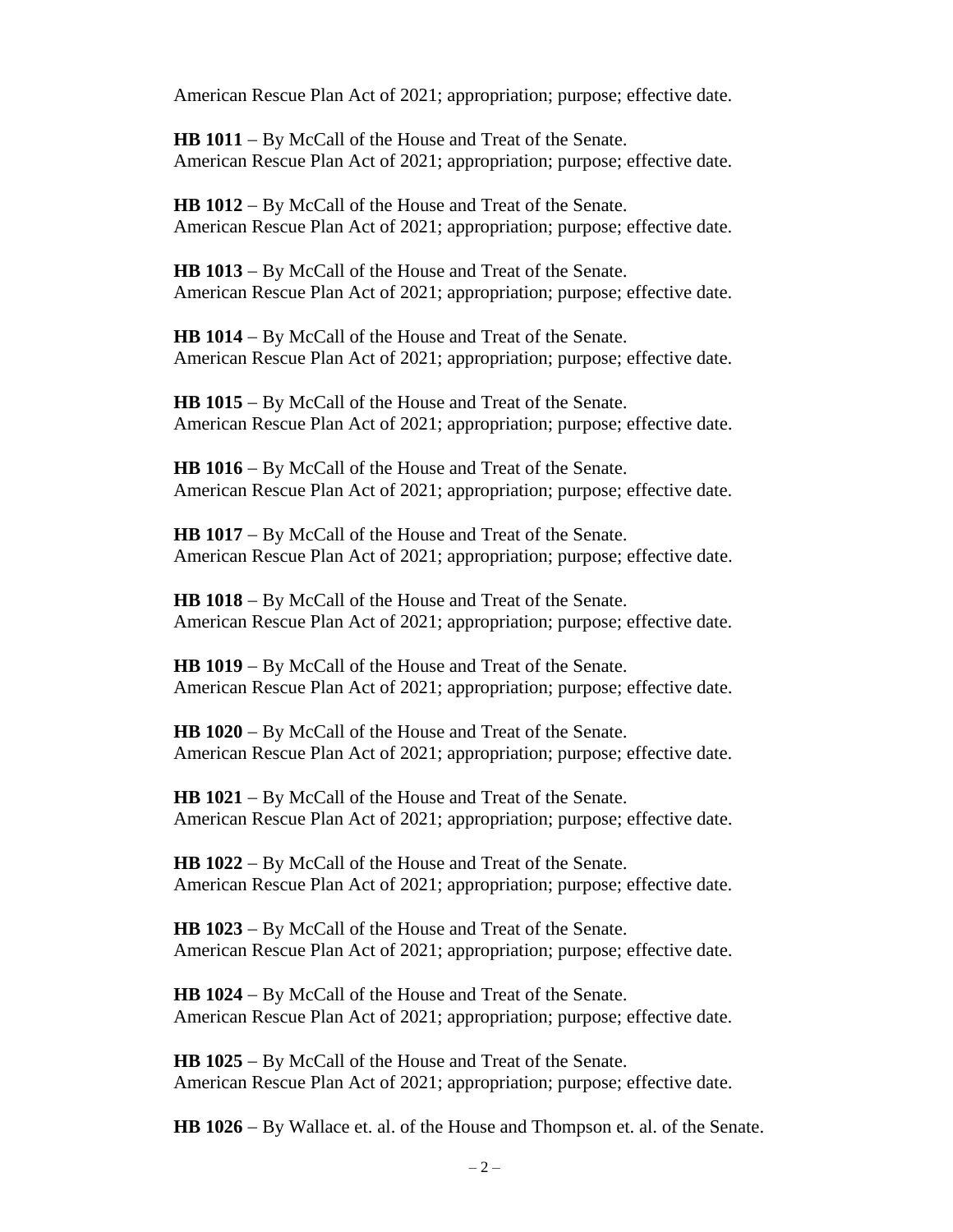American Rescue Plan Act of 2021; appropriation; purpose; effective date.

**HB 1011** − By McCall of the House and Treat of the Senate. American Rescue Plan Act of 2021; appropriation; purpose; effective date.

**HB 1012** − By McCall of the House and Treat of the Senate. American Rescue Plan Act of 2021; appropriation; purpose; effective date.

**HB 1013** − By McCall of the House and Treat of the Senate. American Rescue Plan Act of 2021; appropriation; purpose; effective date.

**HB 1014** − By McCall of the House and Treat of the Senate. American Rescue Plan Act of 2021; appropriation; purpose; effective date.

**HB 1015** − By McCall of the House and Treat of the Senate. American Rescue Plan Act of 2021; appropriation; purpose; effective date.

**HB 1016** − By McCall of the House and Treat of the Senate. American Rescue Plan Act of 2021; appropriation; purpose; effective date.

**HB 1017** − By McCall of the House and Treat of the Senate. American Rescue Plan Act of 2021; appropriation; purpose; effective date.

**HB 1018** − By McCall of the House and Treat of the Senate. American Rescue Plan Act of 2021; appropriation; purpose; effective date.

**HB 1019** − By McCall of the House and Treat of the Senate. American Rescue Plan Act of 2021; appropriation; purpose; effective date.

**HB 1020** − By McCall of the House and Treat of the Senate. American Rescue Plan Act of 2021; appropriation; purpose; effective date.

**HB 1021** − By McCall of the House and Treat of the Senate. American Rescue Plan Act of 2021; appropriation; purpose; effective date.

**HB 1022** − By McCall of the House and Treat of the Senate. American Rescue Plan Act of 2021; appropriation; purpose; effective date.

**HB 1023** − By McCall of the House and Treat of the Senate. American Rescue Plan Act of 2021; appropriation; purpose; effective date.

**HB 1024** − By McCall of the House and Treat of the Senate. American Rescue Plan Act of 2021; appropriation; purpose; effective date.

**HB 1025** − By McCall of the House and Treat of the Senate. American Rescue Plan Act of 2021; appropriation; purpose; effective date.

**HB 1026** − By Wallace et. al. of the House and Thompson et. al. of the Senate.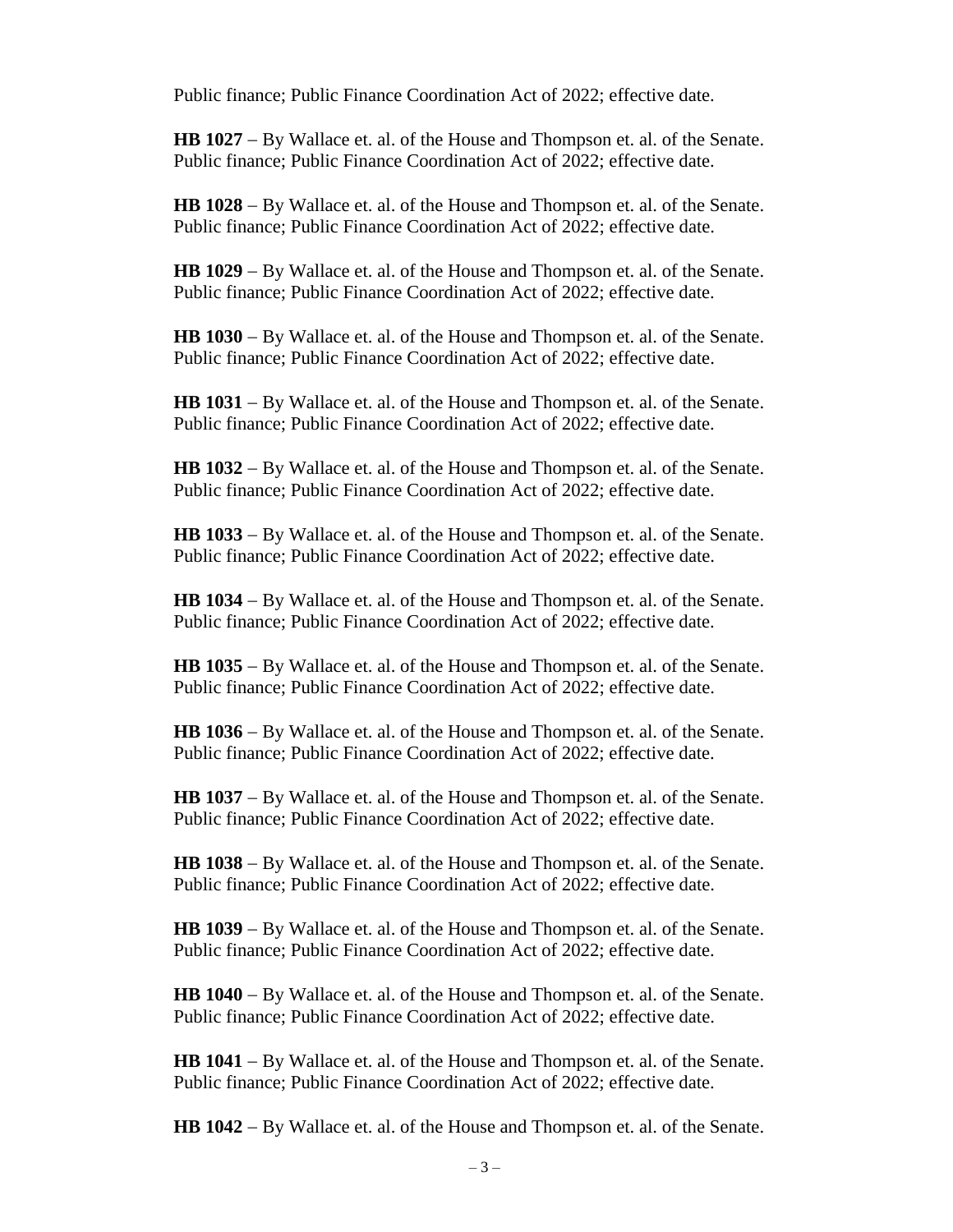Public finance; Public Finance Coordination Act of 2022; effective date.

**HB 1027** − By Wallace et. al. of the House and Thompson et. al. of the Senate. Public finance; Public Finance Coordination Act of 2022; effective date.

**HB 1028** − By Wallace et. al. of the House and Thompson et. al. of the Senate. Public finance; Public Finance Coordination Act of 2022; effective date.

**HB 1029** − By Wallace et. al. of the House and Thompson et. al. of the Senate. Public finance; Public Finance Coordination Act of 2022; effective date.

**HB 1030** − By Wallace et. al. of the House and Thompson et. al. of the Senate. Public finance; Public Finance Coordination Act of 2022; effective date.

**HB 1031** − By Wallace et. al. of the House and Thompson et. al. of the Senate. Public finance; Public Finance Coordination Act of 2022; effective date.

**HB 1032** − By Wallace et. al. of the House and Thompson et. al. of the Senate. Public finance; Public Finance Coordination Act of 2022; effective date.

**HB 1033** − By Wallace et. al. of the House and Thompson et. al. of the Senate. Public finance; Public Finance Coordination Act of 2022; effective date.

**HB 1034** − By Wallace et. al. of the House and Thompson et. al. of the Senate. Public finance; Public Finance Coordination Act of 2022; effective date.

**HB 1035** − By Wallace et. al. of the House and Thompson et. al. of the Senate. Public finance; Public Finance Coordination Act of 2022; effective date.

**HB 1036** − By Wallace et. al. of the House and Thompson et. al. of the Senate. Public finance; Public Finance Coordination Act of 2022; effective date.

**HB 1037** − By Wallace et. al. of the House and Thompson et. al. of the Senate. Public finance; Public Finance Coordination Act of 2022; effective date.

**HB 1038** − By Wallace et. al. of the House and Thompson et. al. of the Senate. Public finance; Public Finance Coordination Act of 2022; effective date.

**HB 1039** − By Wallace et. al. of the House and Thompson et. al. of the Senate. Public finance; Public Finance Coordination Act of 2022; effective date.

**HB 1040** − By Wallace et. al. of the House and Thompson et. al. of the Senate. Public finance; Public Finance Coordination Act of 2022; effective date.

**HB 1041** − By Wallace et. al. of the House and Thompson et. al. of the Senate. Public finance; Public Finance Coordination Act of 2022; effective date.

**HB 1042** − By Wallace et. al. of the House and Thompson et. al. of the Senate.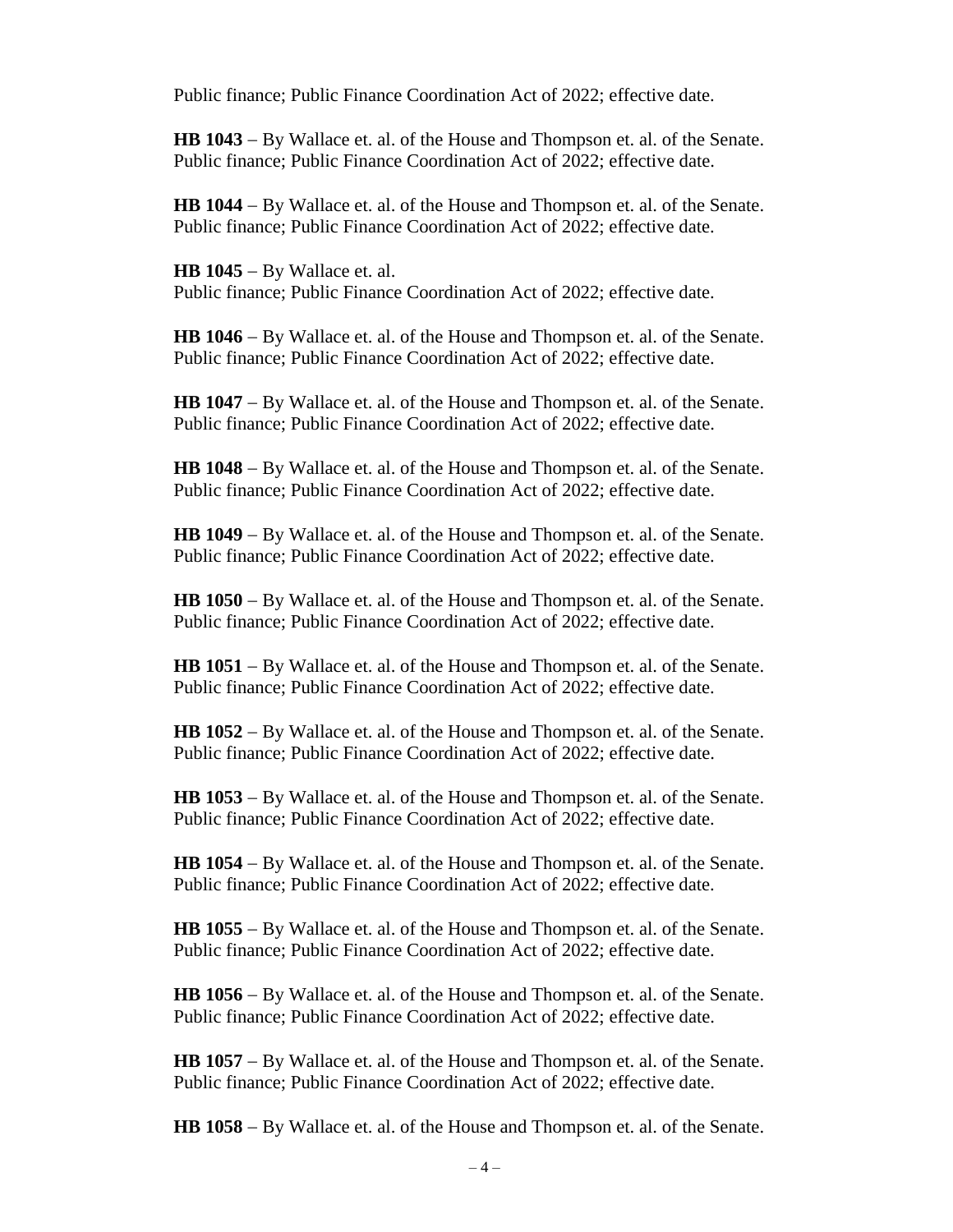Public finance; Public Finance Coordination Act of 2022; effective date.

**HB 1043** − By Wallace et. al. of the House and Thompson et. al. of the Senate. Public finance; Public Finance Coordination Act of 2022; effective date.

**HB 1044** − By Wallace et. al. of the House and Thompson et. al. of the Senate. Public finance; Public Finance Coordination Act of 2022; effective date.

**HB 1045** − By Wallace et. al. Public finance; Public Finance Coordination Act of 2022; effective date.

**HB 1046** − By Wallace et. al. of the House and Thompson et. al. of the Senate. Public finance; Public Finance Coordination Act of 2022; effective date.

**HB 1047** − By Wallace et. al. of the House and Thompson et. al. of the Senate. Public finance; Public Finance Coordination Act of 2022; effective date.

**HB 1048** − By Wallace et. al. of the House and Thompson et. al. of the Senate. Public finance; Public Finance Coordination Act of 2022; effective date.

**HB 1049** − By Wallace et. al. of the House and Thompson et. al. of the Senate. Public finance; Public Finance Coordination Act of 2022; effective date.

**HB 1050** − By Wallace et. al. of the House and Thompson et. al. of the Senate. Public finance; Public Finance Coordination Act of 2022; effective date.

**HB 1051** − By Wallace et. al. of the House and Thompson et. al. of the Senate. Public finance; Public Finance Coordination Act of 2022; effective date.

**HB 1052** − By Wallace et. al. of the House and Thompson et. al. of the Senate. Public finance; Public Finance Coordination Act of 2022; effective date.

**HB 1053** − By Wallace et. al. of the House and Thompson et. al. of the Senate. Public finance; Public Finance Coordination Act of 2022; effective date.

**HB 1054** − By Wallace et. al. of the House and Thompson et. al. of the Senate. Public finance; Public Finance Coordination Act of 2022; effective date.

**HB 1055** − By Wallace et. al. of the House and Thompson et. al. of the Senate. Public finance; Public Finance Coordination Act of 2022; effective date.

**HB 1056** − By Wallace et. al. of the House and Thompson et. al. of the Senate. Public finance; Public Finance Coordination Act of 2022; effective date.

**HB 1057** − By Wallace et. al. of the House and Thompson et. al. of the Senate. Public finance; Public Finance Coordination Act of 2022; effective date.

**HB 1058** − By Wallace et. al. of the House and Thompson et. al. of the Senate.